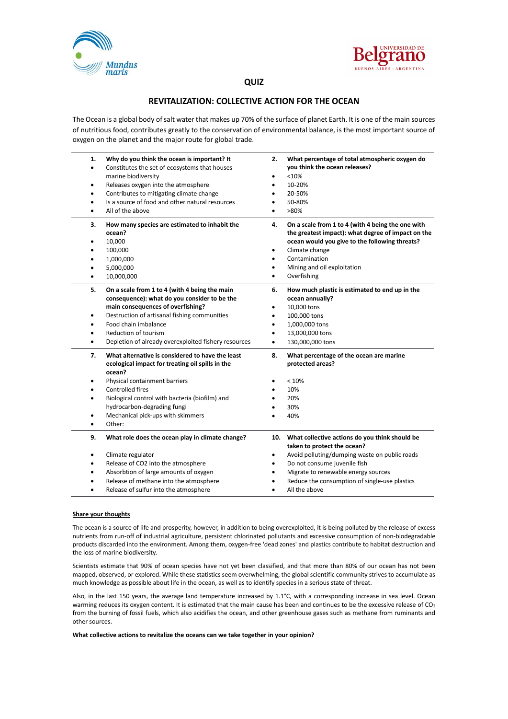



## **QUIZ**

## **REVITALIZATION: COLLECTIVE ACTION FOR THE OCEAN**

The Ocean is a global body of salt water that makes up 70% of the surface of planet Earth. It is one of the main sources of nutritious food, contributes greatly to the conservation of environmental balance, is the most important source of oxygen on the planet and the major route for global trade.

| 1.<br>٠<br>$\bullet$<br>٠<br>$\bullet$ | Why do you think the ocean is important? It<br>Constitutes the set of ecosystems that houses<br>marine biodiversity<br>Releases oxygen into the atmosphere<br>Contributes to mitigating climate change<br>Is a source of food and other natural resources<br>All of the above                              | 2.<br>$\bullet$<br>٠<br>$\bullet$<br>$\bullet$ | What percentage of total atmospheric oxygen do<br>you think the ocean releases?<br>< 10%<br>10-20%<br>20-50%<br>50-80%<br>>80%                                                                                                                                          |
|----------------------------------------|------------------------------------------------------------------------------------------------------------------------------------------------------------------------------------------------------------------------------------------------------------------------------------------------------------|------------------------------------------------|-------------------------------------------------------------------------------------------------------------------------------------------------------------------------------------------------------------------------------------------------------------------------|
| з.<br>٠<br>٠                           | How many species are estimated to inhabit the<br>ocean?<br>10,000<br>100,000<br>1,000,000<br>5,000,000<br>10,000,000                                                                                                                                                                                       | 4.<br>٠<br>٠                                   | On a scale from 1 to 4 (with 4 being the one with<br>the greatest impact): what degree of impact on the<br>ocean would you give to the following threats?<br>Climate change<br>Contamination<br>Mining and oil exploitation<br>Overfishing                              |
| 5.<br>$\bullet$<br>٠<br>$\bullet$      | On a scale from 1 to 4 (with 4 being the main<br>consequence): what do you consider to be the<br>main consequences of overfishing?<br>Destruction of artisanal fishing communities<br>Food chain imbalance<br>Reduction of tourism<br>Depletion of already overexploited fishery resources                 | 6.<br>٠<br>$\bullet$<br>$\bullet$<br>٠<br>٠    | How much plastic is estimated to end up in the<br>ocean annually?<br>10,000 tons<br>100,000 tons<br>1,000,000 tons<br>13,000,000 tons<br>130,000,000 tons                                                                                                               |
| 7.<br>$\bullet$<br>٠<br>٠<br>٠         | What alternative is considered to have the least<br>ecological impact for treating oil spills in the<br>ocean?<br>Physical containment barriers<br><b>Controlled fires</b><br>Biological control with bacteria (biofilm) and<br>hydrocarbon-degrading fungi<br>Mechanical pick-ups with skimmers<br>Other: | 8.                                             | What percentage of the ocean are marine<br>protected areas?<br>< 10%<br>10%<br>20%<br>30%<br>40%                                                                                                                                                                        |
| 9.<br>٠<br>$\bullet$                   | What role does the ocean play in climate change?<br>Climate regulator<br>Release of CO2 into the atmosphere<br>Absorbtion of large amounts of oxygen<br>Release of methane into the atmosphere<br>Release of sulfur into the atmosphere                                                                    | 10.<br>٠<br>٠<br>$\bullet$                     | What collective actions do you think should be<br>taken to protect the ocean?<br>Avoid polluting/dumping waste on public roads<br>Do not consume juvenile fish<br>Migrate to renewable energy sources<br>Reduce the consumption of single-use plastics<br>All the above |

### **Share your thoughts**

The ocean is a source of life and prosperity, however, in addition to being overexploited, it is being polluted by the release of excess nutrients from run-off of industrial agriculture, persistent chlorinated pollutants and excessive consumption of non-biodegradable products discarded into the environment. Among them, oxygen-free 'dead zones' and plastics contribute to habitat destruction and the loss of marine biodiversity.

Scientists estimate that 90% of ocean species have not yet been classified, and that more than 80% of our ocean has not been mapped, observed, or explored. While these statistics seem overwhelming, the global scientific community strives to accumulate as much knowledge as possible about life in the ocean, as well as to identify species in a serious state of threat.

Also, in the last 150 years, the average land temperature increased by 1.1°C, with a corresponding increase in sea level. Ocean warming reduces its oxygen content. It is estimated that the main cause has been and continues to be the excessive release of  $CO<sub>2</sub>$ from the burning of fossil fuels, which also acidifies the ocean, and other greenhouse gases such as methane from ruminants and other sources.

#### **What collective actions to revitalize the oceans can we take together in your opinion?**